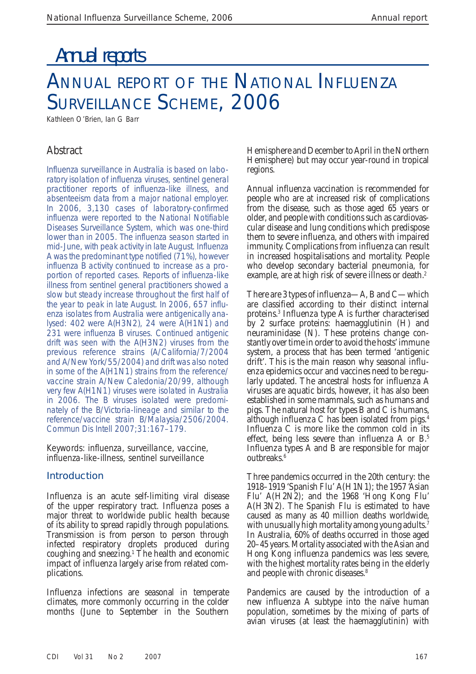# Annual reports

# ANNUAL REPORT OF THE NATIONAL INFLUENZA SURVEILLANCE SCHEME, 2006

Kathleen O'Brien, Ian G Barr

# Abstract

Influenza surveillance in Australia is based on laboratory isolation of influenza viruses, sentinel general practitioner reports of influenza-like illness, and absenteeism data from a major national employer. In 2006, 3,130 cases of laboratory-confirmed influenza were reported to the National Notifiable Diseases Surveillance System, which was one-third lower than in 2005. The influenza season started in mid-June, with peak activity in late August. Influenza A was the predominant type notified (71%), however influenza B activity continued to increase as a proportion of reported cases. Reports of influenza-like illness from sentinel general practitioners showed a slow but steady increase throughout the first half of the year to peak in late August. In 2006, 657 influenza isolates from Australia were antigenically analysed: 402 were A(H3N2), 24 were A(H1N1) and 231 were influenza B viruses. Continued antigenic drift was seen with the A(H3N2) viruses from the previous reference strains (A/California/7/2004 and A/New York/55/2004) and drift was also noted in some of the A(H1N1) strains from the reference/ vaccine strain A/New Caledonia/20/99, although very few A(H1N1) viruses were isolated in Australia in 2006. The B viruses isolated were predominately of the B/Victoria-lineage and similar to the reference/vaccine strain B/Malaysia/2506/2004. *Commun Dis Intell* 2007;31:167–179.

Keywords: influenza, surveillance, vaccine, influenza-like-illness, sentinel surveillance

# **Introduction**

Influenza is an acute self-limiting viral disease of the upper respiratory tract. Influenza poses a major threat to worldwide public health because of its ability to spread rapidly through populations. Transmission is from person to person through infected respiratory droplets produced during coughing and sneezing. $\frac{1}{1}$  The health and economic impact of influenza largely arise from related complications.

Influenza infections are seasonal in temperate climates, more commonly occurring in the colder months (June to September in the Southern

Hemisphere and December to April in the Northern Hemisphere) but may occur year-round in tropical regions.

Annual influenza vaccination is recommended for people who are at increased risk of complications from the disease, such as those aged 65 years or older, and people with conditions such as cardiovascular disease and lung conditions which predispose them to severe influenza, and others with impaired immunity. Complications from influenza can result in increased hospitalisations and mortality. People who develop secondary bacterial pneumonia, for example, are at high risk of severe illness or death.<sup>2</sup>

There are 3 types of influenza—A, B and C—which are classified according to their distinct internal proteins.3 Influenza type A is further characterised by 2 surface proteins: haemagglutinin (H) and neuraminidase (N). These proteins change constantly over time in order to avoid the hosts' immune system, a process that has been termed 'antigenic drift'. This is the main reason why seasonal influenza epidemics occur and vaccines need to be regularly updated. The ancestral hosts for influenza A viruses are aquatic birds, however, it has also been established in some mammals, such as humans and pigs. The natural host for types B and C is humans, although influenza C has been isolated from pigs. $4$ Influenza C is more like the common cold in its effect, being less severe than influenza A or B.5 Influenza types A and B are responsible for major outbreaks.<sup>6</sup>

Three pandemics occurred in the 20th century: the 1918 –1919 'Spanish Flu' A(H1N1); the 1957 'Asian Flu' A(H2N2); and the 1968 'Hong Kong Flu' A(H3N2). The Spanish Flu is estimated to have caused as many as 40 million deaths worldwide, with unusually high mortality among young adults.<sup>7</sup> In Australia, 60% of deaths occurred in those aged 20–45 years. Mortality associated with the Asian and Hong Kong influenza pandemics was less severe, with the highest mortality rates being in the elderly and people with chronic diseases.<sup>8</sup>

Pandemics are caused by the introduction of a new influenza A subtype into the naïve human population, sometimes by the mixing of parts of avian viruses (at least the haemagglutinin) with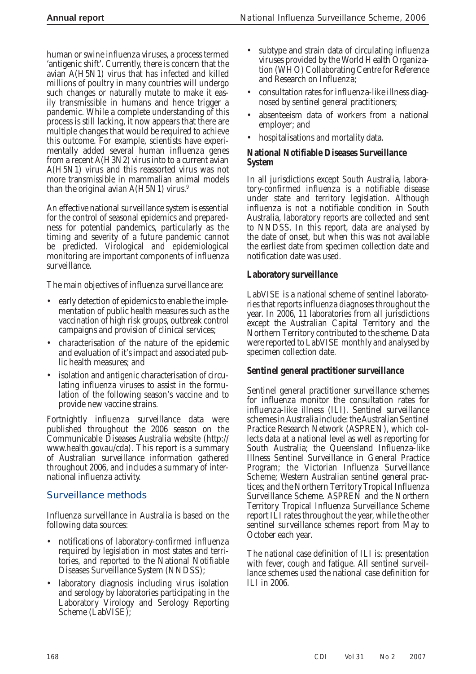human or swine influenza viruses, a process termed 'antigenic shift'. Currently, there is concern that the avian A(H5N1) virus that has infected and killed millions of poultry in many countries will undergo such changes or naturally mutate to make it easily transmissible in humans and hence trigger a pandemic. While a complete understanding of this process is still lacking, it now appears that there are multiple changes that would be required to achieve this outcome. For example, scientists have experimentally added several human influenza genes from a recent A(H3N2) virus into to a current avian A(H5N1) virus and this reassorted virus was not more transmissible in mammalian animal models than the original avian  $A(H5N1)$  virus.<sup>9</sup>

An effective national surveillance system is essential for the control of seasonal epidemics and preparedness for potential pandemics, particularly as the timing and severity of a future pandemic cannot be predicted. Virological and epidemiological monitoring are important components of influenza surveillance.

The main objectives of influenza surveillance are:

- early detection of epidemics to enable the implementation of public health measures such as the vaccination of high risk groups, outbreak control campaigns and provision of clinical services; •
- characterisation of the nature of the epidemic and evaluation of it's impact and associated public health measures; and •
- isolation and antigenic characterisation of circulating influenza viruses to assist in the formulation of the following season's vaccine and to provide new vaccine strains. •

Fortnightly influenza surveillance data were published throughout the 2006 season on the Communicable Diseases Australia website (http:// www.health.gov.au/cda). This report is a summary of Australian surveillance information gathered throughout 2006, and includes a summary of international influenza activity.

# **Surveillance methods**

Influenza surveillance in Australia is based on the following data sources:

- notifications of laboratory-confirmed influenza required by legislation in most states and territories, and reported to the National Notifiable Diseases Surveillance System (NNDSS); •
- laboratory diagnosis including virus isolation and serology by laboratories participating in the Laboratory Virology and Serology Reporting Scheme (LabVISE); •
- subtype and strain data of circulating influenza viruses provided by the World Health Organization (WHO) Collaborating Centre for Reference and Research on Influenza; •
- consultation rates for influenza-like illness diagnosed by sentinel general practitioners;
- absenteeism data of workers from a national employer; and •
- hospitalisations and mortality data.

#### **National Notifiable Diseases Surveillance System**

In all jurisdictions except South Australia, laboratory-confirmed influenza is a notifiable disease under state and territory legislation. Although influenza is not a notifiable condition in South Australia, laboratory reports are collected and sent to NNDSS. In this report, data are analysed by the date of onset, but when this was not available the earliest date from specimen collection date and notification date was used.

# **Laboratory surveillance**

LabVISE is a national scheme of sentinel laboratories that reports influenza diagnoses throughout the year. In 2006, 11 laboratories from all jurisdictions except the Australian Capital Territory and the Northern Territory contributed to the scheme. Data were reported to LabVISE monthly and analysed by specimen collection date.

## **Sentinel general practitioner surveillance**

Sentinel general practitioner surveillance schemes for influenza monitor the consultation rates for influenza-like illness (ILI). Sentinel surveillance schemes in Australia include: the Australian Sentinel Practice Research Network (ASPREN), which collects data at a national level as well as reporting for South Australia; the Queensland Influenza-like Illness Sentinel Surveillance in General Practice Program; the Victorian Influenza Surveillance Scheme; Western Australian sentinel general practices; and the Northern Territory Tropical Influenza Surveillance Scheme. ASPREN and the Northern Territory Tropical Influenza Surveillance Scheme report ILI rates throughout the year, while the other sentinel surveillance schemes report from May to October each year.

The national case definition of ILI is: presentation with fever, cough and fatigue. All sentinel surveillance schemes used the national case definition for ILI in 2006.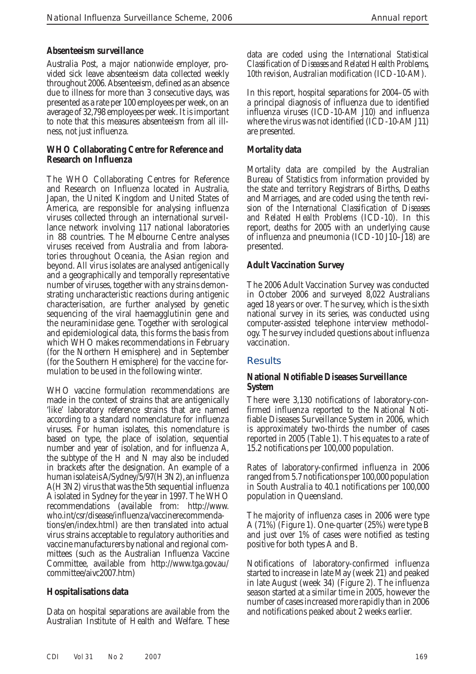#### **Absenteeism surveillance**

Australia Post, a major nationwide employer, provided sick leave absenteeism data collected weekly throughout 2006. Absenteeism, defined as an absence due to illness for more than 3 consecutive days, was presented as a rate per 100 employees per week, on an average of 32,798 employees per week. It is important to note that this measures absenteeism from all illness, not just influenza.

#### **WHO Collaborating Centre for Reference and Research on Influenza**

The WHO Collaborating Centres for Reference and Research on Influenza located in Australia, Japan, the United Kingdom and United States of America, are responsible for analysing influenza viruses collected through an international surveillance network involving 117 national laboratories in 88 countries. The Melbourne Centre analyses viruses received from Australia and from laboratories throughout Oceania, the Asian region and beyond. All virus isolates are analysed antigenically and a geographically and temporally representative number of viruses, together with any strains demonstrating uncharacteristic reactions during antigenic characterisation, are further analysed by genetic sequencing of the viral haemagglutinin gene and the neuraminidase gene. Together with serological and epidemiological data, this forms the basis from which WHO makes recommendations in February (for the Northern Hemisphere) and in September (for the Southern Hemisphere) for the vaccine formulation to be used in the following winter.

WHO vaccine formulation recommendations are made in the context of strains that are antigenically 'like' laboratory reference strains that are named according to a standard nomenclature for influenza viruses. For human isolates, this nomenclature is based on type, the place of isolation, sequential number and year of isolation, and for influenza A, the subtype of the H and N may also be included in brackets after the designation. An example of a human isolate is A/Sydney/5/97(H3N2), an influenza A(H3N2) virus that was the 5th sequential influenza A isolated in Sydney for the year in 1997. The WHO recommendations (available from: http://www. who.int/csr/disease/influenza/vaccinerecommendations/en/index.html) are then translated into actual virus strains acceptable to regulatory authorities and vaccine manufacturers by national and regional committees (such as the Australian Influenza Vaccine Committee, available from http://www.tga.gov.au/ committee/aivc2007.htm)

## **Hospitalisations data**

Data on hospital separations are available from the Australian Institute of Health and Welfare. These

data are coded using the *International Statistical Classification of Diseases and Related Health Problems, 10th revision, Australian modification* (ICD-10-AM).

In this report, hospital separations for 2004–05 with a principal diagnosis of influenza due to identified influenza viruses (ICD-10-AM J10) and influenza where the virus was not identified (ICD-10-AM J11) are presented.

## **Mortality data**

Mortality data are compiled by the Australian Bureau of Statistics from information provided by the state and territory Registrars of Births, Deaths and Marriages, and are coded using the tenth revision of the *International Classification of Diseases and Related Health Problems* (ICD-10). In this report, deaths for 2005 with an underlying cause of influenza and pneumonia (ICD-10 J10–J18) are presented.

#### **Adult Vaccination Survey**

The 2006 Adult Vaccination Survey was conducted in October 2006 and surveyed 8,022 Australians aged 18 years or over. The survey, which is the sixth national survey in its series, was conducted using computer-assisted telephone interview methodology. The survey included questions about influenza vaccination.

#### **Results**

#### **National Notifiable Diseases Surveillance System**

There were 3,130 notifications of laboratory-confirmed influenza reported to the National Notifiable Diseases Surveillance System in 2006, which is approximately two-thirds the number of cases reported in 2005 (Table 1). This equates to a rate of 15.2 notifications per 100,000 population.

Rates of laboratory-confirmed influenza in 2006 ranged from 5.7 notifications per 100,000 population in South Australia to 40.1 notifications per 100,000 population in Queensland.

The majority of influenza cases in 2006 were type A (71%) (Figure 1). One-quarter (25%) were type B and just over 1% of cases were notified as testing positive for both types A and B.

Notifications of laboratory-confirmed influenza started to increase in late May (week 21) and peaked in late August (week 34) (Figure 2). The influenza season started at a similar time in 2005, however the number of cases increased more rapidly than in 2006 and notifications peaked about 2 weeks earlier.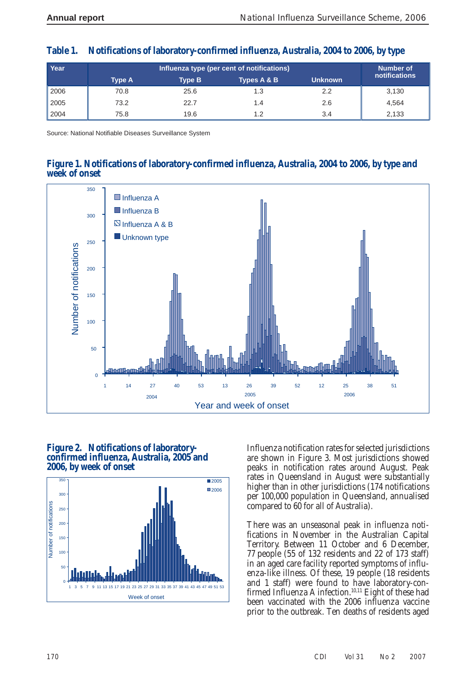| Year |               | Number of     |             |                |               |
|------|---------------|---------------|-------------|----------------|---------------|
|      | <b>Type A</b> | <b>Type B</b> | Types A & B | <b>Unknown</b> | notifications |
| 2006 | 70.8          | 25.6          | 1.3         | 2.2            | 3.130         |
| 2005 | 73.2          | 22.7          | 1.4         | 2.6            | 4.564         |
| 2004 | 75.8          | 19.6          | 1.2         | 3.4            | 2,133         |

## **Table 1. Notifications of laboratory-confirmed influenza, Australia, 2004 to 2006, by type**

Source: National Notifiable Diseases Surveillance System

## **Figure 1. Notifications of laboratory-confirmed influenza, Australia, 2004 to 2006, by type and week of onset**



#### **Figure 2. Notifications of laboratoryconfirmed influenza, Australia, 2005 and 2006, by week of onset**



Influenza notification rates for selected jurisdictions are shown in Figure 3. Most jurisdictions showed peaks in notification rates around August. Peak rates in Queensland in August were substantially higher than in other jurisdictions (174 notifications per 100,000 population in Queensland, annualised compared to 60 for all of Australia).

There was an unseasonal peak in influenza notifications in November in the Australian Capital Territory. Between 11 October and 6 December, 77 people (55 of 132 residents and 22 of 173 staff) in an aged care facility reported symptoms of influenza-like illness. Of these, 19 people (18 residents and 1 staff) were found to have laboratory-confirmed Influenza A infection.<sup>10,11</sup> Eight of these had been vaccinated with the 2006 influenza vaccine prior to the outbreak. Ten deaths of residents aged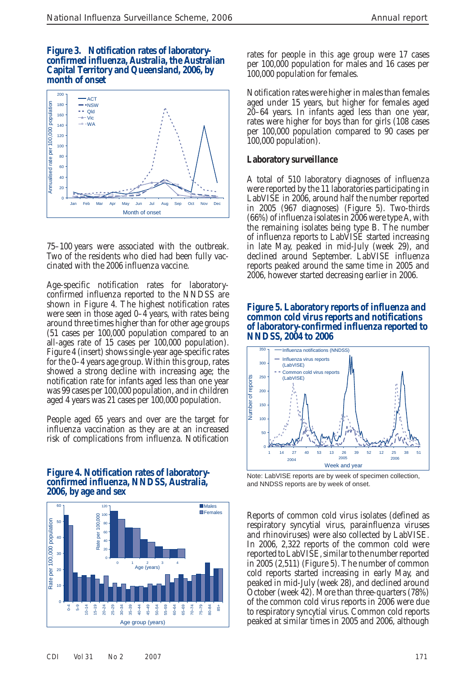#### **Figure 3. Notification rates of laboratoryconfirmed influenza, Australia, the Australian Capital Territory and Queensland, 2006, by month of onset**



75–100 years were associated with the outbreak. Two of the residents who died had been fully vaccinated with the 2006 influenza vaccine.

Age-specific notification rates for laboratoryconfirmed influenza reported to the NNDSS are shown in Figure 4. The highest notification rates were seen in those aged 0–4 years, with rates being around three times higher than for other age groups (51 cases per 100,000 population compared to an all-ages rate of 15 cases per 100,000 population). Figure 4 (insert) shows single-year age-specific rates for the 0–4 years age group. Within this group, rates showed a strong decline with increasing age; the notification rate for infants aged less than one year was 99 cases per 100,000 population, and in children aged 4 years was 21 cases per 100,000 population.

People aged 65 years and over are the target for influenza vaccination as they are at an increased risk of complications from influenza. Notification

#### **Figure 4. Notification rates of laboratoryconfirmed influenza, NNDSS, Australia, 2006, by age and sex**



rates for people in this age group were 17 cases per 100,000 population for males and 16 cases per 100,000 population for females.

Notification rates were higher in males than females aged under 15 years, but higher for females aged 20–64 years. In infants aged less than one year, rates were higher for boys than for girls (108 cases per 100,000 population compared to 90 cases per 100,000 population).

# **Laboratory surveillance**

A total of 510 laboratory diagnoses of influenza were reported by the 11 laboratories participating in LabVISE in 2006, around half the number reported in 2005 (967 diagnoses) (Figure 5). Two-thirds (66%) of influenza isolates in 2006 were type A, with the remaining isolates being type B. The number of influenza reports to LabVISE started increasing in late May, peaked in mid-July (week 29), and declined around September. LabVISE influenza reports peaked around the same time in 2005 and 2006, however started decreasing earlier in 2006.

#### **Figure 5. Laboratory reports of influenza and common cold virus reports and notifications of laboratory-confirmed influenza reported to NNDSS, 2004 to 2006**



Note: LabVISE reports are by week of specimen collection, and NNDSS reports are by week of onset.

Reports of common cold virus isolates (defined as respiratory syncytial virus, parainfluenza viruses and rhinoviruses) were also collected by LabVISE. In 2006, 2,322 reports of the common cold were reported to LabVISE, similar to the number reported in 2005 (2,511) (Figure 5). The number of common cold reports started increasing in early May, and peaked in mid-July (week 28), and declined around October (week 42). More than three-quarters (78%) of the common cold virus reports in 2006 were due to respiratory syncytial virus. Common cold reports peaked at similar times in 2005 and 2006, although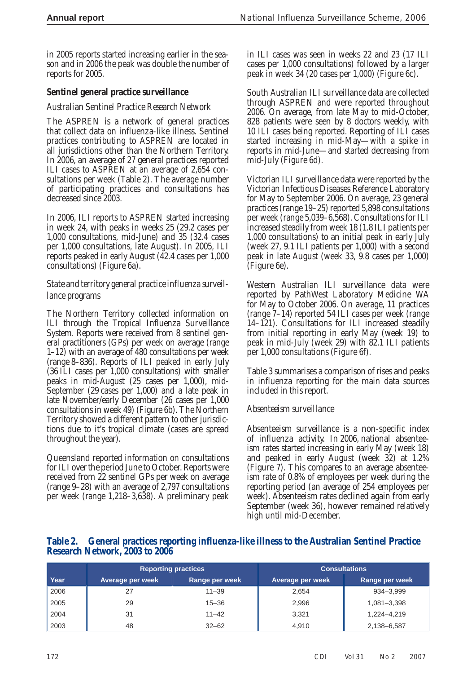in 2005 reports started increasing earlier in the season and in 2006 the peak was double the number of reports for 2005.

#### **Sentinel general practice surveillance**

#### *Australian Sentinel Practice Research Network*

The ASPREN is a network of general practices that collect data on influenza-like illness. Sentinel practices contributing to ASPREN are located in all jurisdictions other than the Northern Territory. In 2006, an average of 27 general practices reported ILI cases to ASPREN at an average of 2,654 consultations per week (Table 2). The average number of participating practices and consultations has decreased since 2003.

In 2006, ILI reports to ASPREN started increasing in week 24, with peaks in weeks 25 (29.2 cases per 1,000 consultations, mid-June) and 35 (32.4 cases per 1,000 consultations, late August). In 2005, ILI reports peaked in early August (42.4 cases per 1,000 consultations) (Figure 6a).

#### *State and territory general practice influenza surveillance programs*

The Northern Territory collected information on ILI through the Tropical Influenza Surveillance System. Reports were received from 8 sentinel general practitioners (GPs) per week on average (range 1–12) with an average of 480 consultations per week (range 8–836). Reports of ILI peaked in early July (36 ILI cases per 1,000 consultations) with smaller peaks in mid-August (25 cases per 1,000), mid-September (29 cases per 1,000) and a late peak in late November/early December (26 cases per 1,000 consultations in week 49) (Figure 6b). The Northern Territory showed a different pattern to other jurisdictions due to it's tropical climate (cases are spread throughout the year).

Queensland reported information on consultations for ILI over the period June to October. Reports were received from 22 sentinel GPs per week on average (range 9–28) with an average of 2,797 consultations per week (range 1,218–3,638). A preliminary peak

in ILI cases was seen in weeks 22 and 23 (17 ILI cases per 1,000 consultations) followed by a larger peak in week 34 (20 cases per 1,000) (Figure 6c).

South Australian ILI surveillance data are collected through ASPREN and were reported throughout 2006. On average, from late May to mid-October, 828 patients were seen by 8 doctors weekly, with 10 ILI cases being reported. Reporting of ILI cases started increasing in mid-May—with a spike in reports in mid-June—and started decreasing from mid-July (Figure 6d).

Victorian ILI surveillance data were reported by the Victorian Infectious Diseases Reference Laboratory for May to September 2006. On average, 23 general practices (range 19–25) reported 5,898 consultations per week (range 5,039–6,568). Consultations for ILI increased steadily from week 18 (1.8 ILI patients per 1,000 consultations) to an initial peak in early July (week 27, 9.1 ILI patients per 1,000) with a second peak in late August (week 33, 9.8 cases per 1,000) (Figure 6e).

Western Australian ILI surveillance data were reported by PathWest Laboratory Medicine WA for May to October 2006. On average, 11 practices (range 7–14) reported 54 ILI cases per week (range 14–121). Consultations for ILI increased steadily from initial reporting in early May (week 19) to peak in mid-July (week 29) with 82.1 ILI patients per 1,000 consultations (Figure 6f).

Table 3 summarises a comparison of rises and peaks in influenza reporting for the main data sources included in this report.

## *Absenteeism surveillance*

Absenteeism surveillance is a non-specific index of influenza activity. In 2006, national absenteeism rates started increasing in early May (week 18) and peaked in early August (week 32) at 1.2% (Figure 7). This compares to an average absenteeism rate of 0.8% of employees per week during the reporting period (an average of 254 employees per week). Absenteeism rates declined again from early September (week 36), however remained relatively high until mid-December.

#### **Table 2. General practices reporting influenza-like illness to the Australian Sentinel Practice Research Network, 2003 to 2006**

|      | <b>Reporting practices</b> |                | <b>Consultations</b> |                |  |
|------|----------------------------|----------------|----------------------|----------------|--|
| Year | Average per week           | Range per week | Average per week     | Range per week |  |
| 2006 | 27                         | $11 - 39$      | 2,654                | 934-3.999      |  |
| 2005 | 29                         | $15 - 36$      | 2,996                | 1,081-3,398    |  |
| 2004 | 31                         | $11 - 42$      | 3.321                | 1.224-4.219    |  |
| 2003 | 48                         | $32 - 62$      | 4,910                | 2,138-6,587    |  |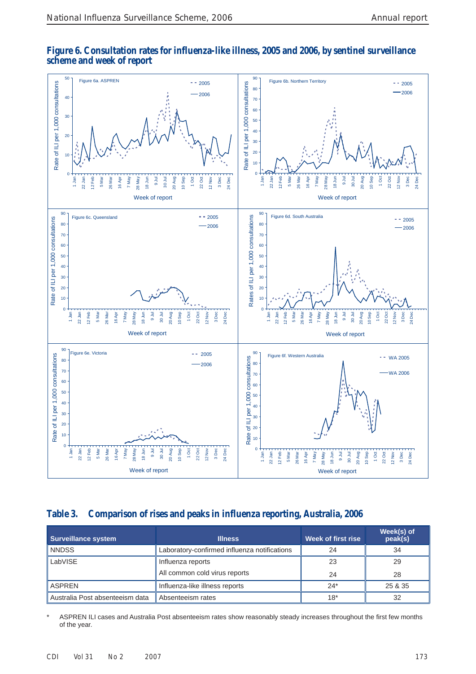

#### **Figure 6. Consultation rates for influenza-like illness, 2005 and 2006, by sentinel surveillance scheme and week of report**

# **Table 3. Comparison of rises and peaks in influenza reporting, Australia, 2006**

| <b>Surveillance system</b>      | <b>Illness</b>                               | Week of first rise | Week(s) of<br>peak(s) |
|---------------------------------|----------------------------------------------|--------------------|-----------------------|
| <b>NNDSS</b>                    | Laboratory-confirmed influenza notifications | 24                 | 34                    |
| LabVISE                         | Influenza reports                            | 23                 | 29                    |
|                                 | All common cold virus reports                | 24                 | 28                    |
| <b>ASPREN</b>                   | Influenza-like illness reports               | $24*$              | 25 & 35               |
| Australia Post absenteeism data | Absenteeism rates                            | $18*$              | 32                    |

ASPREN ILI cases and Australia Post absenteeism rates show reasonably steady increases throughout the first few months of the year.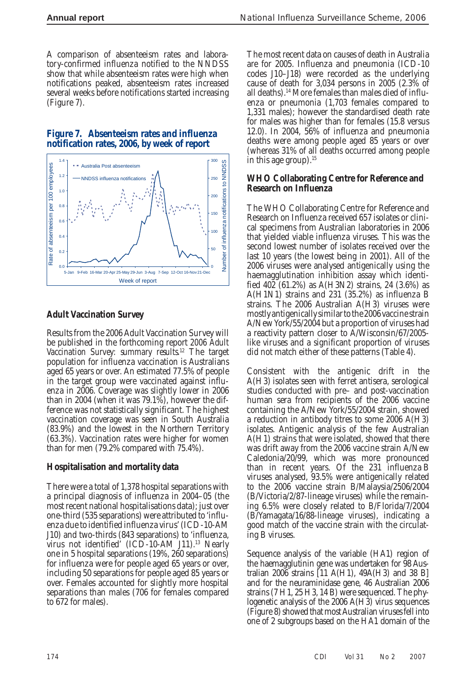A comparison of absenteeism rates and laboratory-confirmed influenza notified to the NNDSS show that while absenteeism rates were high when notifications peaked, absenteeism rates increased several weeks before notifications started increasing (Figure 7).





## **Adult Vaccination Survey**

Results from the 2006 Adult Vaccination Survey will be published in the forthcoming report *2006 Adult Vaccination Survey: summary results*. 12 The target population for influenza vaccination is Australians aged 65 years or over. An estimated 77.5% of people in the target group were vaccinated against influenza in 2006. Coverage was slightly lower in 2006 than in 2004 (when it was 79.1%), however the difference was not statistically significant. The highest vaccination coverage was seen in South Australia (83.9%) and the lowest in the Northern Territory (63.3%). Vaccination rates were higher for women than for men (79.2% compared with 75.4%).

## **Hospitalisation and mortality data**

There were a total of 1,378 hospital separations with a principal diagnosis of influenza in 2004–05 (the most recent national hospitalisations data); just over one-third (535 separations) were attributed to 'influenza due to identified influenza virus' (ICD-10-AM J10) and two-thirds (843 separations) to 'influenza, virus not identified' (ICD-10-AM J11).<sup>13</sup> Nearly one in 5 hospital separations (19%, 260 separations) for influenza were for people aged 65 years or over, including 50 separations for people aged 85 years or over. Females accounted for slightly more hospital separations than males (706 for females compared to 672 for males).

The most recent data on causes of death in Australia are for 2005. Influenza and pneumonia (ICD-10 codes J10–J18) were recorded as the underlying cause of death for 3,034 persons in 2005 (2.3% of all deaths).14 More females than males died of influenza or pneumonia (1,703 females compared to 1,331 males); however the standardised death rate for males was higher than for females (15.8 versus 12.0). In 2004, 56% of influenza and pneumonia deaths were among people aged 85 years or over (whereas 31% of all deaths occurred among people in this age group). $15$ 

#### **WHO Collaborating Centre for Reference and Research on Influenza**

The WHO Collaborating Centre for Reference and Research on Influenza received 657 isolates or clinical specimens from Australian laboratories in 2006 that yielded viable influenza viruses. This was the second lowest number of isolates received over the last 10 years (the lowest being in 2001). All of the 2006 viruses were analysed antigenically using the haemagglutination inhibition assay which identified  $40\overline{2}$  (61.2%) as A(H3N2) strains, 24 (3.6%) as A(H1N1) strains and 231 (35.2%) as influenza B strains. The 2006 Australian A(H3) viruses were mostly antigenically similar to the 2006 vaccine strain A/New York/55/2004 but a proportion of viruses had a reactivity pattern closer to A/Wisconsin/67/2005 like viruses and a significant proportion of viruses did not match either of these patterns (Table 4).

Consistent with the antigenic drift in the A(H3) isolates seen with ferret antisera, serological studies conducted with pre– and post-vaccination human sera from recipients of the 2006 vaccine containing the A/New York/55/2004 strain, showed a reduction in antibody titres to some 2006 A(H3) isolates. Antigenic analysis of the few Australian A(H1) strains that were isolated, showed that there was drift away from the 2006 vaccine strain A/New Caledonia/20/99, which was more pronounced than in recent years. Of the 231 influenza B viruses analysed, 93.5% were antigenically related to the 2006 vaccine strain B/Malaysia/2506/2004 (B/Victoria/2/87-lineage viruses) while the remaining 6.5% were closely related to B/Florida/7/2004 (B/Yamagata/16/88-lineage viruses), indicating a good match of the vaccine strain with the circulating B viruses.

Sequence analysis of the variable (HA1) region of the haemagglutinin gene was undertaken for 98 Australian 2006 strains [11 A(H1), 49A(H3) and 38 B] and for the neuraminidase gene, 46 Australian 2006 strains  $(7 H1, 25 H3, 14 B)$  were sequenced. The phylogenetic analysis of the 2006 A(H3) virus sequences (Figure 8) showed that most Australian viruses fell into one of 2 subgroups based on the HA1 domain of the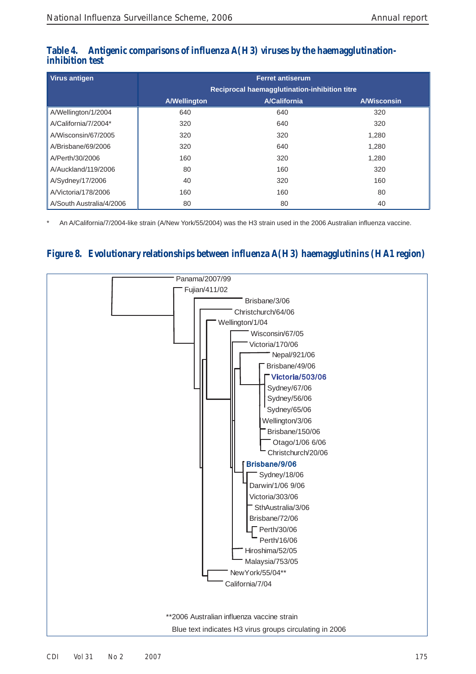| <b>Virus antigen</b>     |                     | <b>Ferret antiserum</b>                       |                    |
|--------------------------|---------------------|-----------------------------------------------|--------------------|
|                          |                     | Reciprocal haemagglutination-inhibition titre |                    |
|                          | <b>A/Wellington</b> | <b>A/California</b>                           | <b>A/Wisconsin</b> |
| A/Wellington/1/2004      | 640                 | 640                                           | 320                |
| A/California/7/2004*     | 320                 | 640                                           | 320                |
| A/Wisconsin/67/2005      | 320                 | 320                                           | 1,280              |
| A/Brisbane/69/2006       | 320                 | 640                                           | 1,280              |
| A/Perth/30/2006          | 160                 | 320                                           | 1,280              |
| A/Auckland/119/2006      | 80                  | 160                                           | 320                |
| A/Sydney/17/2006         | 40                  | 320                                           | 160                |
| A/Victoria/178/2006      | 160                 | 160                                           | 80                 |
| A/South Australia/4/2006 | 80                  | 80                                            | 40                 |

# Antigenic comparisons of influenza A(H3) viruses by the haemagglutination**inhibition test**

An A/California/7/2004-like strain (A/New York/55/2004) was the H3 strain used in the 2006 Australian influenza vaccine.

# **Figure 8. Evolutionary relationships between influenza A(H3) haemagglutinins (HA1 region)**

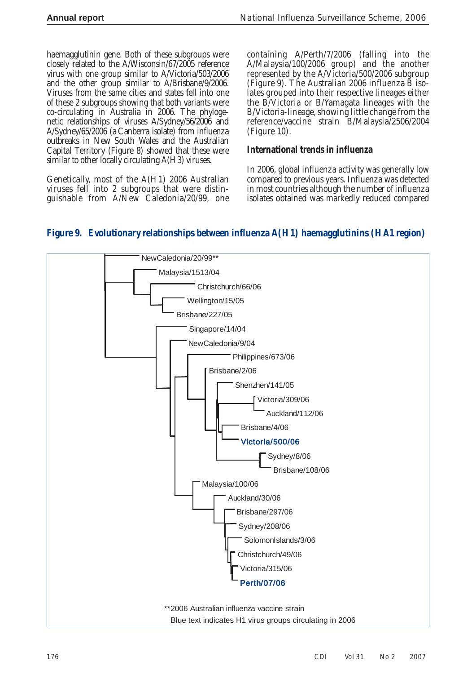haemagglutinin gene. Both of these subgroups were closely related to the A/Wisconsin/67/2005 reference virus with one group similar to A/Victoria/503/2006 and the other group similar to A/Brisbane/9/2006. Viruses from the same cities and states fell into one of these 2 subgroups showing that both variants were co-circulating in Australia in 2006. The phylogenetic relationships of viruses A/Sydney/56/2006 and A/Sydney/65/2006 (a Canberra isolate) from influenza outbreaks in New South Wales and the Australian Capital Territory (Figure 8) showed that these were similar to other locally circulating A(H3) viruses.

Genetically, most of the A(H1) 2006 Australian viruses fell into 2 subgroups that were distinguishable from A/New Caledonia/20/99, one containing A/Perth/7/2006 (falling into the A/Malaysia/100/2006 group) and the another represented by the A/Victoria/500/2006 subgroup  $(Figure 9)$ . The Australian 2006 influenza B isolates grouped into their respective lineages either the B/Victoria or B/Yamagata lineages with the B/Victoria-lineage, showing little change from the reference/vaccine strain B/Malaysia/2506/2004 (Figure 10).

#### **International trends in influenza**

In 2006, global influenza activity was generally low compared to previous years. Influenza was detected in most countries although the number of influenza isolates obtained was markedly reduced compared

# **Figure 9. Evolutionary relationships between influenza A(H1) haemagglutinins (HA1 region)**

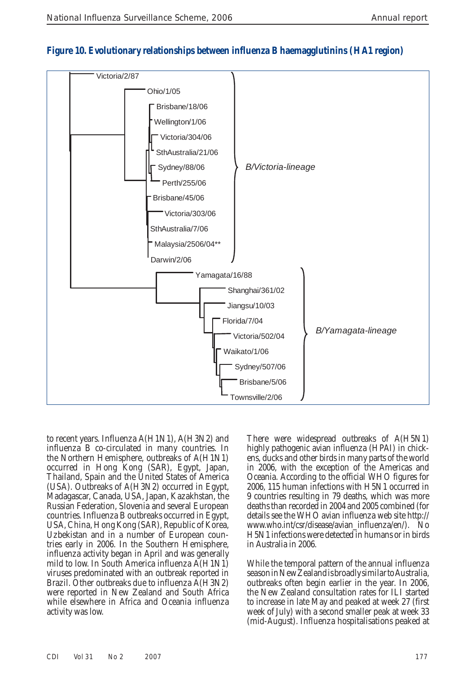

# **Figure 10. Evolutionary relationships between influenza B haemagglutinins (HA1 region)**

to recent years. Influenza A(H1N1), A(H3N2) and influenza B co-circulated in many countries. In the Northern Hemisphere, outbreaks of A(H1N1) occurred in Hong Kong (SAR), Egypt, Japan, Thailand, Spain and the United States of America (USA). Outbreaks of A(H3N2) occurred in Egypt, Madagascar, Canada, USA, Japan, Kazakhstan, the Russian Federation, Slovenia and several European countries. Influenza B outbreaks occurred in Egypt, USA, China, Hong Kong (SAR), Republic of Korea, Uzbekistan and in a number of European countries early in 2006. In the Southern Hemisphere, influenza activity began in April and was generally mild to low. In South America influenza A(H1N1) viruses predominated with an outbreak reported in Brazil. Other outbreaks due to influenza A(H3N2) were reported in New Zealand and South Africa while elsewhere in Africa and Oceania influenza activity was low.

There were widespread outbreaks of A(H5N1) highly pathogenic avian influenza (HPAI) in chickens, ducks and other birds in many parts of the world in 2006, with the exception of the Americas and Oceania. According to the official WHO figures for 2006, 115 human infections with H5N1 occurred in 9 countries resulting in 79 deaths, which was more deaths than recorded in 2004 and 2005 combined (for details see the WHO avian influenza web site http:// www.who.int/csr/disease/avian\_influenza/en/). No H5N1 infections were detected in humans or in birds in Australia in 2006.

While the temporal pattern of the annual influenza season in New Zealand is broadly similar to Australia, outbreaks often begin earlier in the year. In 2006, the New Zealand consultation rates for ILI started to increase in late May and peaked at week 27 (first week of July) with a second smaller peak at week 33 (mid-August). Influenza hospitalisations peaked at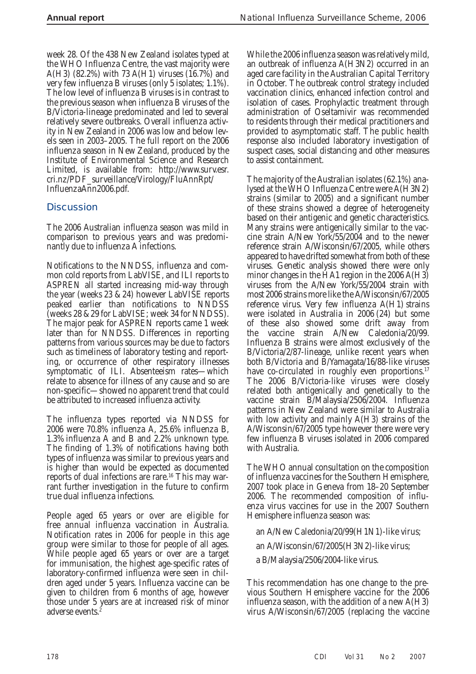week 28. Of the 438 New Zealand isolates typed at the WHO Influenza Centre, the vast majority were A(H3) (82.2%) with 73 A(H1) viruses  $(16.7\%)$  and very few influenza B viruses (only 5 isolates; 1.1%). The low level of influenza B viruses is in contrast to the previous season when influenza B viruses of the B/Victoria-lineage predominated and led to several relatively severe outbreaks. Overall influenza activity in New Zealand in 2006 was low and below levels seen in 2003–2005. The full report on the 2006 influenza season in New Zealand, produced by the Institute of Environmental Science and Research Limited, is available from: http://www.surv.esr. cri.nz/PDF\_surveillance/Virology/FluAnnRpt/ InfluenzaAnn2006.pdf.

# **Discussion**

The 2006 Australian influenza season was mild in comparison to previous years and was predominantly due to influenza A infections.

Notifications to the NNDSS, influenza and common cold reports from LabVISE, and ILI reports to ASPREN all started increasing mid-way through the year (weeks 23 & 24) however LabVISE reports peaked earlier than notifications to NNDSS (weeks 28 & 29 for LabVISE; week 34 for NNDSS). The major peak for ASPREN reports came 1 week later than for NNDSS. Differences in reporting patterns from various sources may be due to factors such as timeliness of laboratory testing and reporting, or occurrence of other respiratory illnesses symptomatic of ILI. Absenteeism rates—which relate to absence for illness of any cause and so are non-specific—showed no apparent trend that could be attributed to increased influenza activity.

The influenza types reported via NNDSS for 2006 were 70.8% influenza A, 25.6% influenza B, 1.3% influenza A and B and 2.2% unknown type. The finding of 1.3% of notifications having both types of influenza was similar to previous years and is higher than would be expected as documented reports of dual infections are rare.<sup>16</sup> This may warrant further investigation in the future to confirm true dual influenza infections.

People aged 65 years or over are eligible for free annual influenza vaccination in Australia. Notification rates in 2006 for people in this age group were similar to those for people of all ages. While people aged 65 years or over are a target for immunisation, the highest age-specific rates of laboratory-confirmed influenza were seen in children aged under 5 years. Influenza vaccine can be given to children from 6 months of age, however those under 5 years are at increased risk of minor adverse events.<sup>2</sup>

While the 2006 influenza season was relatively mild, an outbreak of influenza A(H3N2) occurred in an aged care facility in the Australian Capital Territory in October. The outbreak control strategy included vaccination clinics, enhanced infection control and isolation of cases. Prophylactic treatment through administration of Oseltamivir was recommended to residents through their medical practitioners and provided to asymptomatic staff. The public health response also included laboratory investigation of suspect cases, social distancing and other measures to assist containment.

The majority of the Australian isolates (62.1%) analysed at the WHO Influenza Centre were A(H3N2) strains (similar to 2005) and a significant number of these strains showed a degree of heterogeneity based on their antigenic and genetic characteristics. Many strains were antigenically similar to the vaccine strain A/New York/55/2004 and to the newer reference strain A/Wisconsin/67/2005, while others appeared to have drifted somewhat from both of these viruses. Genetic analysis showed there were only minor changes in the HA1 region in the 2006 A(H3) viruses from the A/New York/55/2004 strain with most 2006 strains more like the A/Wisconsin/67/2005 reference virus. Very few influenza A(H1) strains were isolated in Australia in 2006 (24) but some of these also showed some drift away from the vaccine strain A/New Caledonia/20/99. Influenza B strains were almost exclusively of the B/Victoria/2/87-lineage, unlike recent years when both B/Victoria and B/Yamagata/16/88-like viruses have co-circulated in roughly even proportions.<sup>17</sup> The 2006 B/Victoria-like viruses were closely related both antigenically and genetically to the vaccine strain B/Malaysia/2506/2004. Influenza patterns in New Zealand were similar to Australia with low activity and mainly A(H3) strains of the A/Wisconsin/67/2005 type however there were very few influenza B viruses isolated in 2006 compared with Australia.

The WHO annual consultation on the composition of influenza vaccines for the Southern Hemisphere, 2007 took place in Geneva from 18–20 September 2006. The recommended composition of influenza virus vaccines for use in the 2007 Southern Hemisphere influenza season was:

an A/New Caledonia/20/99(H1N1)-like virus; an A/Wisconsin/67/2005(H3N2)-like virus; a B/Malaysia/2506/2004-like virus.

This recommendation has one change to the previous Southern Hemisphere vaccine for the 2006 influenza season, with the addition of a new A(H3) virus A/Wisconsin/67/2005 (replacing the vaccine